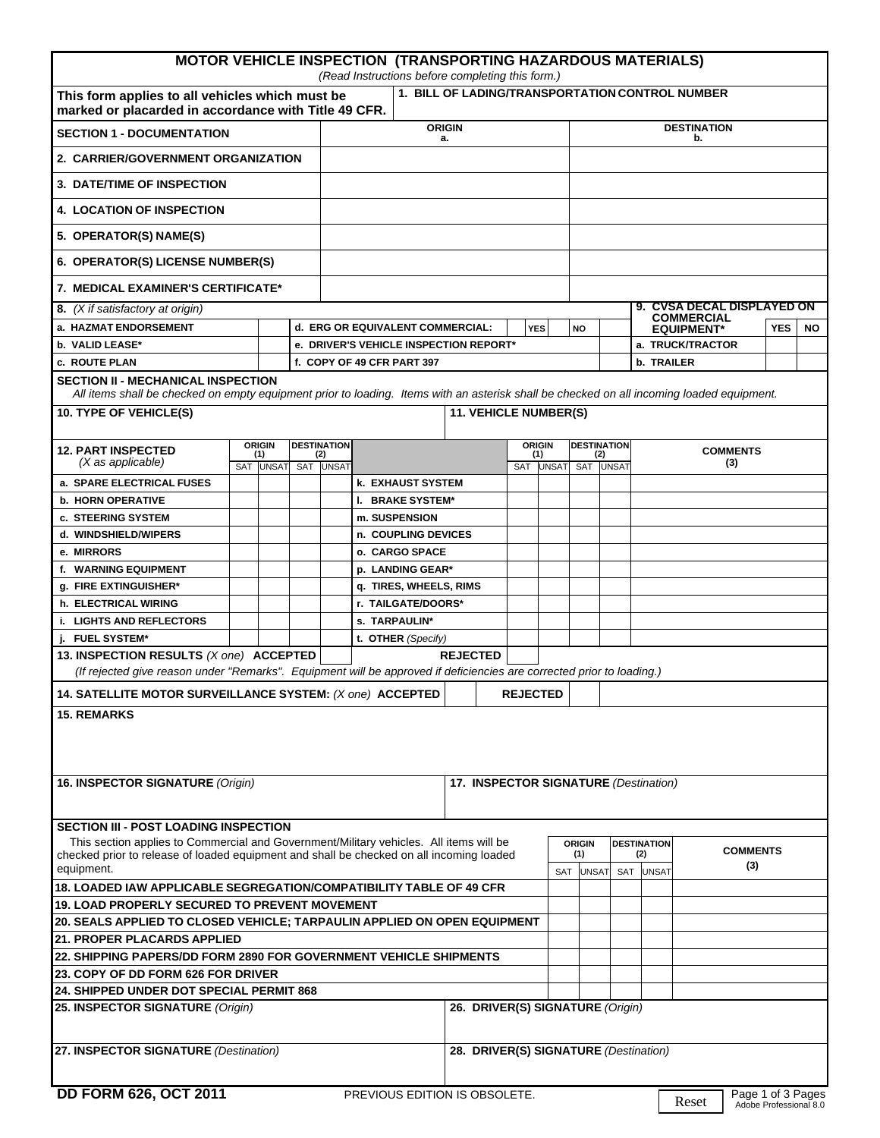| <b>MOTOR VEHICLE INSPECTION (TRANSPORTING HAZARDOUS MATERIALS)</b><br>(Read Instructions before completing this form.)                                                                 |                                       |                  |                                        |                        |                            |                                       |               |                    |              |                          |                                                        |                   |                 |            |     |  |
|----------------------------------------------------------------------------------------------------------------------------------------------------------------------------------------|---------------------------------------|------------------|----------------------------------------|------------------------|----------------------------|---------------------------------------|---------------|--------------------|--------------|--------------------------|--------------------------------------------------------|-------------------|-----------------|------------|-----|--|
| 1. BILL OF LADING/TRANSPORTATION CONTROL NUMBER<br>This form applies to all vehicles which must be                                                                                     |                                       |                  |                                        |                        |                            |                                       |               |                    |              |                          |                                                        |                   |                 |            |     |  |
| marked or placarded in accordance with Title 49 CFR.<br><b>SECTION 1 - DOCUMENTATION</b>                                                                                               |                                       |                  |                                        | <b>ORIGIN</b><br>a.    |                            |                                       |               |                    |              | <b>DESTINATION</b><br>b. |                                                        |                   |                 |            |     |  |
| 2. CARRIER/GOVERNMENT ORGANIZATION                                                                                                                                                     |                                       |                  |                                        |                        |                            |                                       |               |                    |              |                          |                                                        |                   |                 |            |     |  |
| 3. DATE/TIME OF INSPECTION                                                                                                                                                             |                                       |                  |                                        |                        |                            |                                       |               |                    |              |                          |                                                        |                   |                 |            |     |  |
| <b>4. LOCATION OF INSPECTION</b>                                                                                                                                                       |                                       |                  |                                        |                        |                            |                                       |               |                    |              |                          |                                                        |                   |                 |            |     |  |
| 5. OPERATOR(S) NAME(S)                                                                                                                                                                 |                                       |                  |                                        |                        |                            |                                       |               |                    |              |                          |                                                        |                   |                 |            |     |  |
| 6. OPERATOR(S) LICENSE NUMBER(S)                                                                                                                                                       |                                       |                  |                                        |                        |                            |                                       |               |                    |              |                          |                                                        |                   |                 |            |     |  |
| 7. MEDICAL EXAMINER'S CERTIFICATE*                                                                                                                                                     |                                       |                  |                                        |                        |                            |                                       |               |                    |              |                          |                                                        |                   |                 |            |     |  |
| 8. (X if satisfactory at origin)                                                                                                                                                       |                                       |                  |                                        |                        |                            |                                       |               |                    |              |                          | <b>9. CVSA DECAL DISPLAYED ON</b><br><b>COMMERCIAL</b> |                   |                 |            |     |  |
| a. HAZMAT ENDORSEMENT                                                                                                                                                                  |                                       |                  | d. ERG OR EQUIVALENT COMMERCIAL:       |                        |                            | <b>YES</b>                            |               |                    | <b>NO</b>    |                          |                                                        | <b>EQUIPMENT*</b> |                 | <b>YES</b> | NO. |  |
| b. VALID LEASE*                                                                                                                                                                        |                                       |                  | e. DRIVER'S VEHICLE INSPECTION REPORT* |                        |                            |                                       |               |                    |              |                          |                                                        | a. TRUCK/TRACTOR  |                 |            |     |  |
| c. ROUTE PLAN                                                                                                                                                                          |                                       |                  |                                        |                        | f. COPY OF 49 CFR PART 397 |                                       |               |                    |              |                          | <b>b. TRAILER</b>                                      |                   |                 |            |     |  |
| <b>SECTION II - MECHANICAL INSPECTION</b><br>All items shall be checked on empty equipment prior to loading. Items with an asterisk shall be checked on all incoming loaded equipment. |                                       |                  |                                        |                        |                            |                                       |               |                    |              |                          |                                                        |                   |                 |            |     |  |
| <b>11. VEHICLE NUMBER(S)</b><br><b>10. TYPE OF VEHICLE(S)</b>                                                                                                                          |                                       |                  |                                        |                        |                            |                                       |               |                    |              |                          |                                                        |                   |                 |            |     |  |
| <b>ORIGIN</b><br><b>12. PART INSPECTED</b>                                                                                                                                             |                                       |                  | <b>DESTINATION</b>                     |                        |                            |                                       | <b>ORIGIN</b> | <b>DESTINATION</b> |              |                          |                                                        |                   | <b>COMMENTS</b> |            |     |  |
| $(X$ as applicable)                                                                                                                                                                    |                                       | (1)<br>SAT UNSAT | SAT                                    | (2)<br><b>UNSAT</b>    |                            |                                       | (1)<br>SAT    | <b>UNSAT</b>       | (2)<br>SAT   | <b>UNSA1</b>             |                                                        |                   | (3)             |            |     |  |
| a. SPARE ELECTRICAL FUSES                                                                                                                                                              |                                       |                  |                                        |                        | <b>k. EXHAUST SYSTEM</b>   |                                       |               |                    |              |                          |                                                        |                   |                 |            |     |  |
| <b>b. HORN OPERATIVE</b>                                                                                                                                                               |                                       |                  |                                        |                        | I. BRAKE SYSTEM*           |                                       |               |                    |              |                          |                                                        |                   |                 |            |     |  |
| c. STEERING SYSTEM                                                                                                                                                                     |                                       |                  |                                        |                        | m. SUSPENSION              |                                       |               |                    |              |                          |                                                        |                   |                 |            |     |  |
| d. WINDSHIELD/WIPERS                                                                                                                                                                   |                                       |                  |                                        |                        | n. COUPLING DEVICES        |                                       |               |                    |              |                          |                                                        |                   |                 |            |     |  |
| e. MIRRORS                                                                                                                                                                             |                                       |                  |                                        |                        | o. CARGO SPACE             |                                       |               |                    |              |                          |                                                        |                   |                 |            |     |  |
|                                                                                                                                                                                        |                                       |                  |                                        |                        |                            |                                       |               |                    |              |                          |                                                        |                   |                 |            |     |  |
| f. WARNING EQUIPMENT                                                                                                                                                                   |                                       |                  |                                        | p. LANDING GEAR*       |                            |                                       |               |                    |              |                          |                                                        |                   |                 |            |     |  |
| g. FIRE EXTINGUISHER*                                                                                                                                                                  |                                       |                  |                                        | q. TIRES, WHEELS, RIMS |                            |                                       |               |                    |              |                          |                                                        |                   |                 |            |     |  |
| h. ELECTRICAL WIRING                                                                                                                                                                   |                                       |                  |                                        | r. TAILGATE/DOORS*     |                            |                                       |               |                    |              |                          |                                                        |                   |                 |            |     |  |
| <b>i. LIGHTS AND REFLECTORS</b>                                                                                                                                                        |                                       |                  | s. TARPAULIN*                          |                        |                            |                                       |               |                    |              |                          |                                                        |                   |                 |            |     |  |
| j. FUEL SYSTEM*                                                                                                                                                                        |                                       |                  |                                        |                        | t. OTHER (Specify)         |                                       |               |                    |              |                          |                                                        |                   |                 |            |     |  |
| 13. INSPECTION RESULTS (X one) ACCEPTED                                                                                                                                                |                                       |                  |                                        |                        |                            | <b>REJECTED</b>                       |               |                    |              |                          |                                                        |                   |                 |            |     |  |
| (If rejected give reason under "Remarks". Equipment will be approved if deficiencies are corrected prior to loading.)                                                                  |                                       |                  |                                        |                        |                            |                                       |               |                    |              |                          |                                                        |                   |                 |            |     |  |
| 14. SATELLITE MOTOR SURVEILLANCE SYSTEM: (X one) ACCEPTED                                                                                                                              |                                       | <b>REJECTED</b>  |                                        |                        |                            |                                       |               |                    |              |                          |                                                        |                   |                 |            |     |  |
| <b>15. REMARKS</b>                                                                                                                                                                     |                                       |                  |                                        |                        |                            |                                       |               |                    |              |                          |                                                        |                   |                 |            |     |  |
| 16. INSPECTOR SIGNATURE (Origin)                                                                                                                                                       | 17. INSPECTOR SIGNATURE (Destination) |                  |                                        |                        |                            |                                       |               |                    |              |                          |                                                        |                   |                 |            |     |  |
| <b>SECTION III - POST LOADING INSPECTION</b>                                                                                                                                           |                                       |                  |                                        |                        |                            |                                       |               |                    |              |                          |                                                        |                   |                 |            |     |  |
| This section applies to Commercial and Government/Military vehicles. All items will be                                                                                                 |                                       | <b>ORIGIN</b>    |                                        |                        |                            | <b>DESTINATION</b><br><b>COMMENTS</b> |               |                    |              |                          |                                                        |                   |                 |            |     |  |
| checked prior to release of loaded equipment and shall be checked on all incoming loaded<br>equipment.                                                                                 |                                       |                  |                                        |                        |                            |                                       |               | (1)                |              | (2)<br>(3)               |                                                        |                   |                 |            |     |  |
| 18. LOADED IAW APPLICABLE SEGREGATION/COMPATIBILITY TABLE OF 49 CFR                                                                                                                    |                                       |                  |                                        |                        |                            |                                       |               | <b>SAT</b>         | <b>UNSAT</b> | <b>SAT</b>               | <b>UNSAT</b>                                           |                   |                 |            |     |  |
|                                                                                                                                                                                        |                                       |                  |                                        |                        |                            |                                       |               |                    |              |                          |                                                        |                   |                 |            |     |  |
| <b>19. LOAD PROPERLY SECURED TO PREVENT MOVEMENT</b>                                                                                                                                   |                                       |                  |                                        |                        |                            |                                       |               |                    |              |                          |                                                        |                   |                 |            |     |  |
| 20. SEALS APPLIED TO CLOSED VEHICLE; TARPAULIN APPLIED ON OPEN EQUIPMENT                                                                                                               |                                       |                  |                                        |                        |                            |                                       |               |                    |              |                          |                                                        |                   |                 |            |     |  |
| 21. PROPER PLACARDS APPLIED                                                                                                                                                            |                                       |                  |                                        |                        |                            |                                       |               |                    |              |                          |                                                        |                   |                 |            |     |  |
| 22. SHIPPING PAPERS/DD FORM 2890 FOR GOVERNMENT VEHICLE SHIPMENTS                                                                                                                      |                                       |                  |                                        |                        |                            |                                       |               |                    |              |                          |                                                        |                   |                 |            |     |  |
| <b>23. COPY OF DD FORM 626 FOR DRIVER</b>                                                                                                                                              |                                       |                  |                                        |                        |                            |                                       |               |                    |              |                          |                                                        |                   |                 |            |     |  |
| <b>24. SHIPPED UNDER DOT SPECIAL PERMIT 868</b>                                                                                                                                        |                                       |                  |                                        |                        |                            |                                       |               |                    |              |                          |                                                        |                   |                 |            |     |  |
| 25. INSPECTOR SIGNATURE (Origin)<br>26. DRIVER(S) SIGNATURE (Origin)                                                                                                                   |                                       |                  |                                        |                        |                            |                                       |               |                    |              |                          |                                                        |                   |                 |            |     |  |
| 27. INSPECTOR SIGNATURE (Destination)                                                                                                                                                  | 28. DRIVER(S) SIGNATURE (Destination) |                  |                                        |                        |                            |                                       |               |                    |              |                          |                                                        |                   |                 |            |     |  |
| <b>DD FORM 626, OCT 2011</b>                                                                                                                                                           | PREVIOUS EDITION IS OBSOLETE.         |                  |                                        |                        |                            |                                       | Reset         | Page 1 of 3 Pages  |              |                          |                                                        |                   |                 |            |     |  |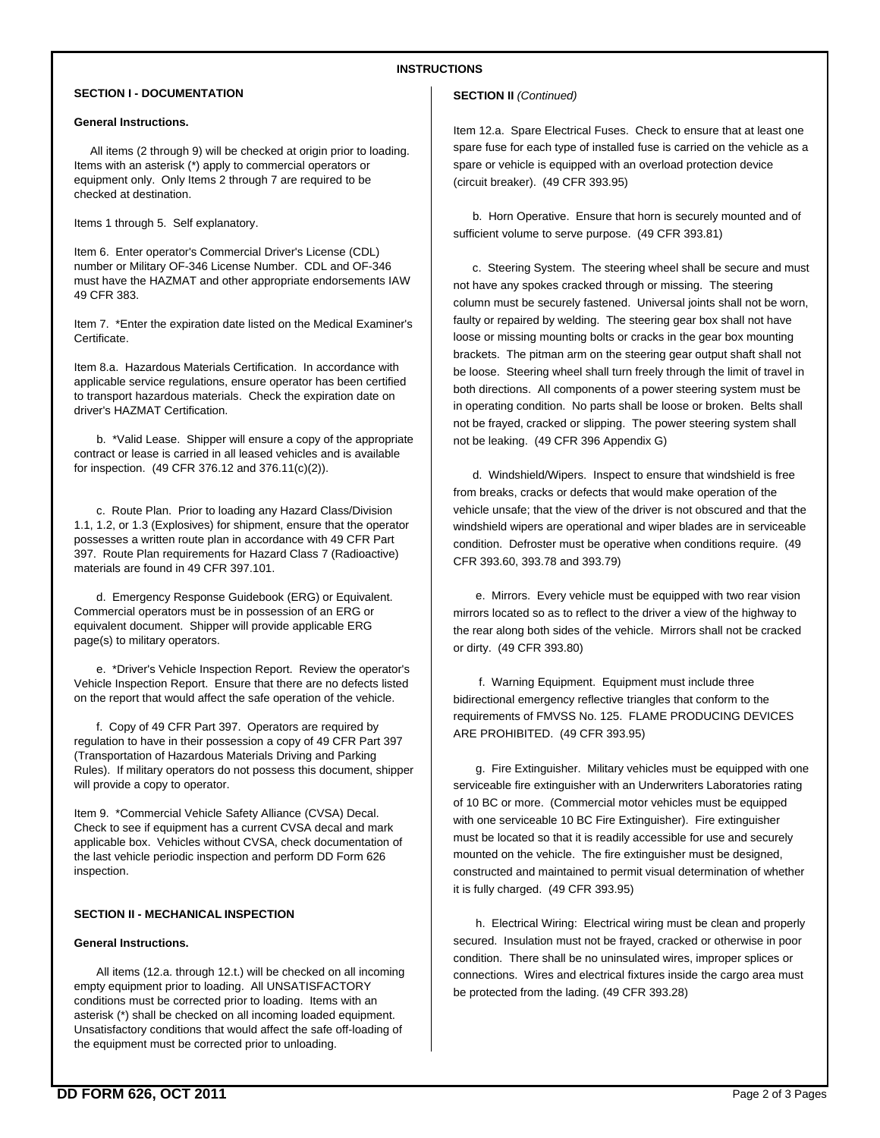# **INSTRUCTIONS**

### **SECTION I - DOCUMENTATION**

### **General Instructions.**

 All items (2 through 9) will be checked at origin prior to loading. Items with an asterisk (\*) apply to commercial operators or equipment only. Only Items 2 through 7 are required to be checked at destination.

Items 1 through 5. Self explanatory.

Item 6. Enter operator's Commercial Driver's License (CDL) number or Military OF-346 License Number. CDL and OF-346 must have the HAZMAT and other appropriate endorsements IAW 49 CFR 383.

Item 7. \*Enter the expiration date listed on the Medical Examiner's Certificate.

Item 8.a. Hazardous Materials Certification. In accordance with applicable service regulations, ensure operator has been certified to transport hazardous materials. Check the expiration date on driver's HAZMAT Certification.

 b. \*Valid Lease. Shipper will ensure a copy of the appropriate contract or lease is carried in all leased vehicles and is available for inspection. (49 CFR 376.12 and 376.11(c)(2)).

 c. Route Plan. Prior to loading any Hazard Class/Division 1.1, 1.2, or 1.3 (Explosives) for shipment, ensure that the operator possesses a written route plan in accordance with 49 CFR Part 397. Route Plan requirements for Hazard Class 7 (Radioactive) materials are found in 49 CFR 397.101.

 d. Emergency Response Guidebook (ERG) or Equivalent. Commercial operators must be in possession of an ERG or equivalent document. Shipper will provide applicable ERG page(s) to military operators.

 e. \*Driver's Vehicle Inspection Report. Review the operator's Vehicle Inspection Report. Ensure that there are no defects listed on the report that would affect the safe operation of the vehicle.

 f. Copy of 49 CFR Part 397. Operators are required by regulation to have in their possession a copy of 49 CFR Part 397 (Transportation of Hazardous Materials Driving and Parking Rules). If military operators do not possess this document, shipper will provide a copy to operator.

Item 9. \*Commercial Vehicle Safety Alliance (CVSA) Decal. Check to see if equipment has a current CVSA decal and mark applicable box. Vehicles without CVSA, check documentation of the last vehicle periodic inspection and perform DD Form 626 inspection.

## **SECTION II - MECHANICAL INSPECTION**

#### **General Instructions.**

 All items (12.a. through 12.t.) will be checked on all incoming empty equipment prior to loading. All UNSATISFACTORY conditions must be corrected prior to loading. Items with an asterisk (\*) shall be checked on all incoming loaded equipment. Unsatisfactory conditions that would affect the safe off-loading of the equipment must be corrected prior to unloading.

## **SECTION II** *(Continued)*

Item 12.a. Spare Electrical Fuses. Check to ensure that at least one spare fuse for each type of installed fuse is carried on the vehicle as a spare or vehicle is equipped with an overload protection device (circuit breaker). (49 CFR 393.95)

 b. Horn Operative. Ensure that horn is securely mounted and of sufficient volume to serve purpose. (49 CFR 393.81)

 c. Steering System. The steering wheel shall be secure and must not have any spokes cracked through or missing. The steering column must be securely fastened. Universal joints shall not be worn, faulty or repaired by welding. The steering gear box shall not have loose or missing mounting bolts or cracks in the gear box mounting brackets. The pitman arm on the steering gear output shaft shall not be loose. Steering wheel shall turn freely through the limit of travel in both directions. All components of a power steering system must be in operating condition. No parts shall be loose or broken. Belts shall not be frayed, cracked or slipping. The power steering system shall not be leaking. (49 CFR 396 Appendix G)

 d. Windshield/Wipers. Inspect to ensure that windshield is free from breaks, cracks or defects that would make operation of the vehicle unsafe; that the view of the driver is not obscured and that the windshield wipers are operational and wiper blades are in serviceable condition. Defroster must be operative when conditions require. (49 CFR 393.60, 393.78 and 393.79)

 e. Mirrors. Every vehicle must be equipped with two rear vision mirrors located so as to reflect to the driver a view of the highway to the rear along both sides of the vehicle. Mirrors shall not be cracked or dirty. (49 CFR 393.80)

 f. Warning Equipment. Equipment must include three bidirectional emergency reflective triangles that conform to the requirements of FMVSS No. 125. FLAME PRODUCING DEVICES ARE PROHIBITED. (49 CFR 393.95)

 g. Fire Extinguisher. Military vehicles must be equipped with one serviceable fire extinguisher with an Underwriters Laboratories rating of 10 BC or more. (Commercial motor vehicles must be equipped with one serviceable 10 BC Fire Extinguisher). Fire extinguisher must be located so that it is readily accessible for use and securely mounted on the vehicle. The fire extinguisher must be designed, constructed and maintained to permit visual determination of whether it is fully charged. (49 CFR 393.95)

 h. Electrical Wiring: Electrical wiring must be clean and properly secured. Insulation must not be frayed, cracked or otherwise in poor condition. There shall be no uninsulated wires, improper splices or connections. Wires and electrical fixtures inside the cargo area must be protected from the lading. (49 CFR 393.28)